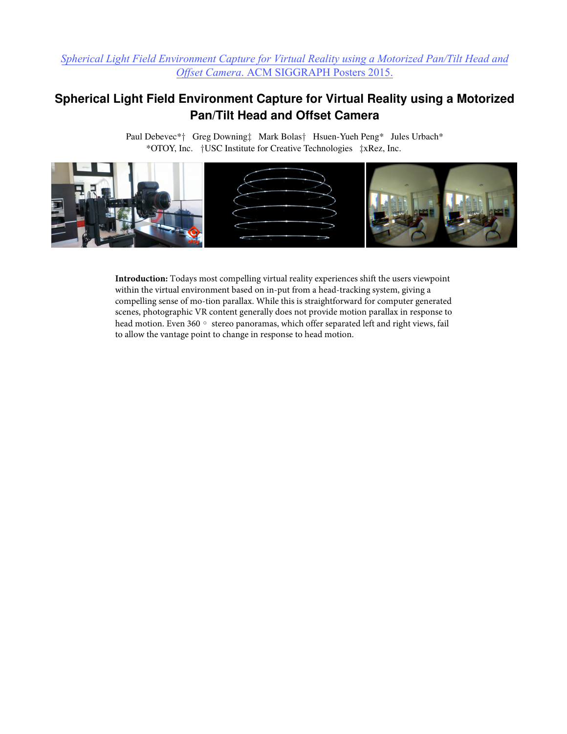## *[Spherical Light Field Environment Capture for Virtual Reality using a Motorized Pan/Tilt Head and](#page-1-0)  Offset Camera*. ACM SIGGRAPH Posters 2015.

## **Spherical Light Field Environment Capture for Virtual Reality using a Motorized Pan/Tilt Head and Offset Camera**

\*OTOY, Inc. †USC Institute for Creative Technologies ‡xRez, Inc. Paul Debevec\*† Greg Downing‡ Mark Bolas† Hsuen-Yueh Peng\* Jules Urbach\*



**Introduction:** Todays most compelling virtual reality experiences shift the users viewpoint within the virtual environment based on in-put from a head-tracking system, giving a compelling sense of mo-tion parallax. While this is straightforward for computer generated scenes, photographic VR content generally does not provide motion parallax in response to head motion. Even 360◦ stereo panoramas, which offer separated left and right views, fail to allow the vantage point to change in response to head motion.